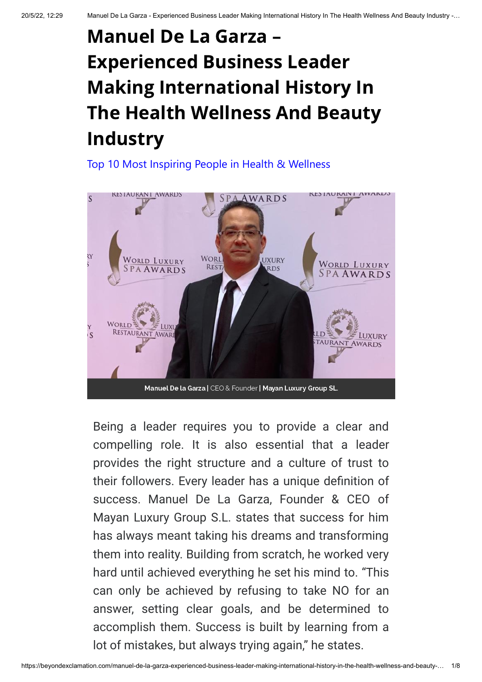# Manuel De La Garza – Experienced Business Leader Making International History In The Health Wellness And Beauty Industry

[Top 10 Most Inspiring People in Health & Wellness](https://beyondexclamation.com/top-10-most-inspiring-people-in-health-wellness-may-2022/)



Being a leader requires you to provide a clear and compelling role. It is also essential that a leader provides the right structure and a culture of trust to success. Manuel De La Garza, Founder & CEO of Mayan Luxury Group S.L. states that success for him has always meant taking his dreams and transforming them into reality. Building from scratch, he worked very hard until achieved everything he set his mind to. "This can only be achieved by refusing to take NO for an answer, setting clear goals, and be determined to accomplish them. Success is built by learning from a lot of mistakes, but always trying again," he states.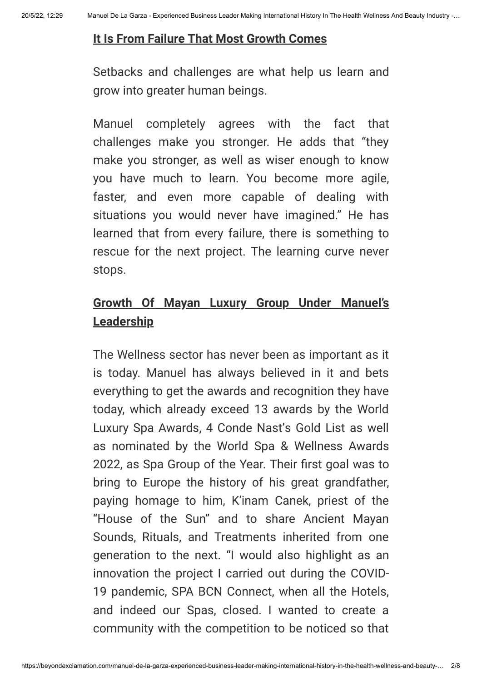#### **It Is From Failure That Most Growth Comes**

Setbacks and challenges are what help us learn and grow into greater human beings.

Manuel completely agrees with the fact that challenges make you stronger. He adds that "they make you stronger, as well as wiser enough to know you have much to learn. You become more agile, faster, and even more capable of dealing with situations you would never have imagined." He has learned that from every failure, there is something to rescue for the next project. The learning curve never stops. **Example 18 Community** Computer and the Spa Group of the Year Spanner Computer and Cyclus Certain Computer in the Section of the Section Section Section Section Section Section Section Section Section Section Section Secti

# **Growth Of Mayan Luxury Group Under Manuel's Leadership**

The Wellness sector has never been as important as it is today. Manuel has always believed in it and bets everything to get the awards and recognition they have today, which already exceed 13 awards by the World Luxury Spa Awards, 4 Conde Nast's Gold List as well as nominated by the World Spa & Wellness Awards bring to Europe the history of his great grandfather, paying homage to him, K'inam Canek, priest of the "House of the Sun" and to share Ancient Mayan Sounds, Rituals, and Treatments inherited from one generation to the next. "I would also highlight as an innovation the project I carried out during the COVID-19 pandemic, SPA BCN Connect, when all the Hotels, and indeed our Spas, closed. I wanted to create a community with the competition to be noticed so that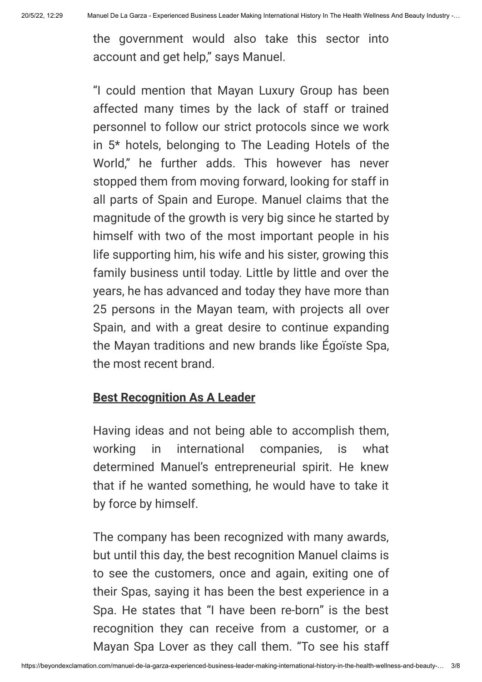the government would also take this sector into account and get help," says Manuel.

"I could mention that Mayan Luxury Group has been affected many times by the lack of staff or trained personnel to follow our strict protocols since we work in 5\* hotels, belonging to The Leading Hotels of the World," he further adds. This however has never stopped them from moving forward, looking for staff in all parts of Spain and Europe. Manuel claims that the magnitude of the growth is very big since he started by himself with two of the most important people in his life supporting him, his wife and his sister, growing this family business until today. Little by little and over the years, he has advanced and today they have more than 25 persons in the Mayan team, with projects all over Spain, and with a great desire to continue expanding the Mayan traditions and new brands like Égoïste Spa, the most recent brand.

## **Best Recognition As A Leader**

Having ideas and not being able to accomplish them, working in international companies, is what determined Manuel's entrepreneurial spirit. He knew that if he wanted something, he would have to take it by force by himself.

The company has been recognized with many awards, but until this day, the best recognition Manuel claims is to see the customers, once and again, exiting one of their Spas, saying it has been the best experience in a Spa. He states that "I have been re-born" is the best recognition they can receive from a customer, or a Mayan Spa Lover as they call them. "To see his staff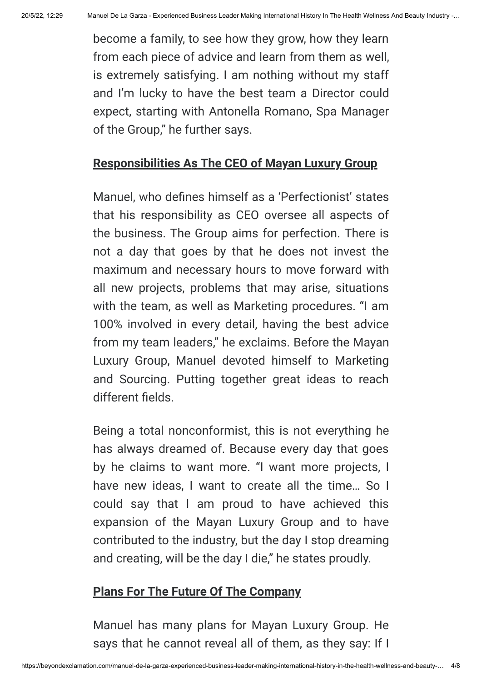become a family, to see how they grow, how they learn from each piece of advice and learn from them as well, is extremely satisfying. I am nothing without my staff and I'm lucky to have the best team a Director could expect, starting with Antonella Romano, Spa Manager of the Group," he further says. anuel De La Garza - Experienced Business Leader Making International History In The Health Wellness<br>become a family, to see how they grow, how they learn<br>from each piece of advice and learn from them as well,<br>is extremely

#### **Responsibilities As The CEO of Mayan Luxury Group**

anuel De La Garza - Experienced Business Leade<br>become a family, to see her<br>from each piece of advice<br>is extremely satisfying. I a<br>and I'm lucky to have the<br>expect, starting with Anto<br>of the Group," he further sa<br>**Responsib** that his responsibility as CEO oversee all aspects of the business. The Group aims for perfection. There is not a day that goes by that he does not invest the maximum and necessary hours to move forward with all new projects, problems that may arise, situations with the team, as well as Marketing procedures. "I am 100% involved in every detail, having the best advice from my team leaders," he exclaims. Before the Mayan Luxury Group, Manuel devoted himself to Marketing and Sourcing. Putting together great ideas to reach different fields.

Being a total nonconformist, this is not everything he has always dreamed of. Because every day that goes by he claims to want more. "I want more projects, I have new ideas. I want to create all the time... So I could say that I am proud to have achieved this expansion of the Mayan Luxury Group and to have contributed to the industry, but the day I stop dreaming and creating, will be the day I die," he states proudly.

### **Plans For The Future Of The Company**

Manuel has many plans for Mayan Luxury Group. He says that he cannot reveal all of them, as they say: If I